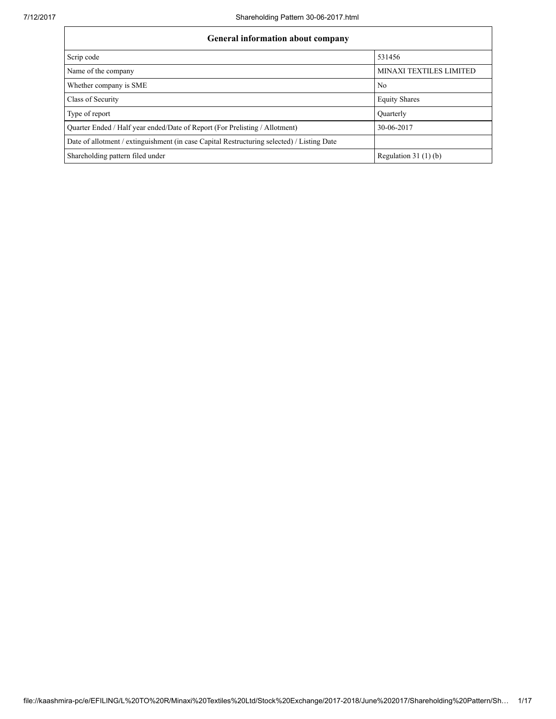| <b>General information about company</b>                                                   |                                |
|--------------------------------------------------------------------------------------------|--------------------------------|
| Scrip code                                                                                 | 531456                         |
| Name of the company                                                                        | <b>MINAXI TEXTILES LIMITED</b> |
| Whether company is SME                                                                     | No.                            |
| Class of Security                                                                          | <b>Equity Shares</b>           |
| Type of report                                                                             | Quarterly                      |
| Quarter Ended / Half year ended/Date of Report (For Prelisting / Allotment)                | 30-06-2017                     |
| Date of allotment / extinguishment (in case Capital Restructuring selected) / Listing Date |                                |
| Shareholding pattern filed under                                                           | Regulation $31(1)(b)$          |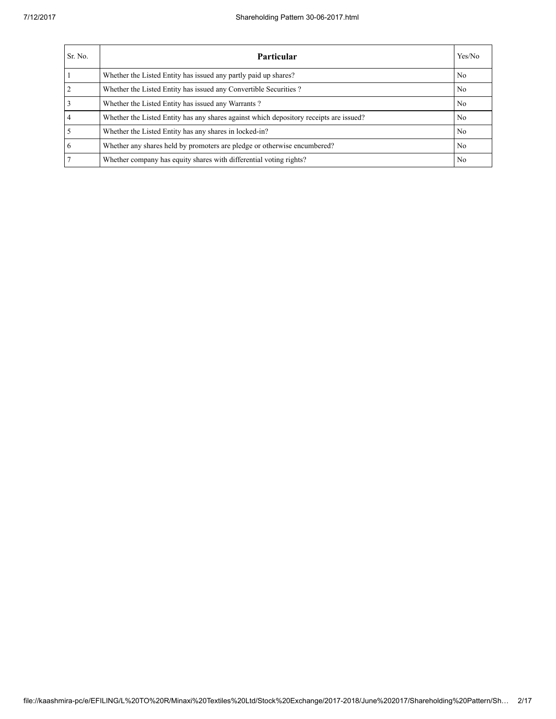| Sr. No.        | Particular                                                                             | Yes/No         |
|----------------|----------------------------------------------------------------------------------------|----------------|
|                | Whether the Listed Entity has issued any partly paid up shares?                        | N <sub>0</sub> |
| $\overline{2}$ | Whether the Listed Entity has issued any Convertible Securities?                       | N <sub>0</sub> |
| $\overline{3}$ | Whether the Listed Entity has issued any Warrants?                                     | N <sub>0</sub> |
| $\overline{4}$ | Whether the Listed Entity has any shares against which depository receipts are issued? | N <sub>0</sub> |
| 5              | Whether the Listed Entity has any shares in locked-in?                                 | N <sub>0</sub> |
| 6              | Whether any shares held by promoters are pledge or otherwise encumbered?               | N <sub>0</sub> |
| $\tau$         | Whether company has equity shares with differential voting rights?                     | N <sub>0</sub> |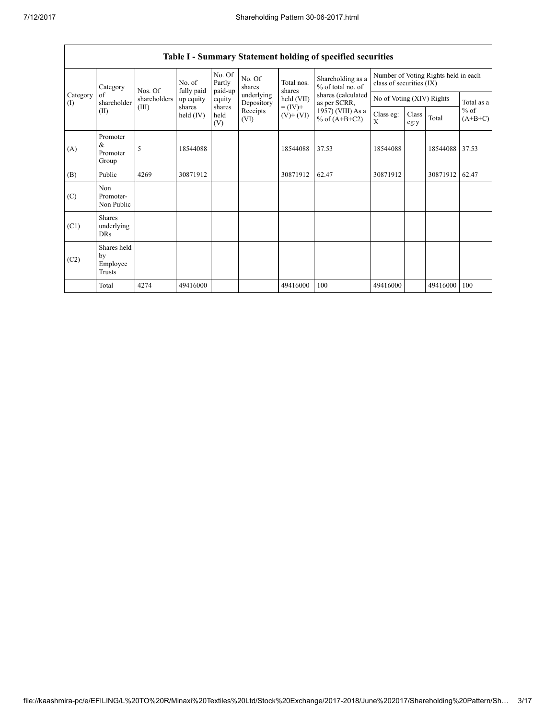| No. of<br>Category<br>fully paid<br>Nos. Of<br>Category<br>of<br>shareholders<br>shareholder<br>(I) |                                                                                                                   |                                      | No. Of<br>Partly<br>paid-up | No. Of<br>shares | Total nos.<br>shares               | Shareholding as a<br>% of total no. of | Number of Voting Rights held in each<br>class of securities (IX) |          |            |          |       |
|-----------------------------------------------------------------------------------------------------|-------------------------------------------------------------------------------------------------------------------|--------------------------------------|-----------------------------|------------------|------------------------------------|----------------------------------------|------------------------------------------------------------------|----------|------------|----------|-------|
|                                                                                                     | up equity                                                                                                         | equity                               | underlying<br>Depository    | held (VII)       | shares (calculated<br>as per SCRR, | No of Voting (XIV) Rights              |                                                                  |          | Total as a |          |       |
|                                                                                                     | $= (IV) +$<br>shares<br>shares<br>(III)<br>(II)<br>Receipts<br>held (IV)<br>held<br>$(V)$ + $(VI)$<br>(VI)<br>(V) | 1957) (VIII) As a<br>% of $(A+B+C2)$ | Class eg:<br>X              | Class<br>eg:y    | Total                              | $%$ of<br>$(A+B+C)$                    |                                                                  |          |            |          |       |
| (A)                                                                                                 | Promoter<br>&<br>Promoter<br>Group                                                                                | 5                                    | 18544088                    |                  |                                    | 18544088                               | 37.53                                                            | 18544088 |            | 18544088 | 37.53 |
| (B)                                                                                                 | Public                                                                                                            | 4269                                 | 30871912                    |                  |                                    | 30871912                               | 62.47                                                            | 30871912 |            | 30871912 | 62.47 |
| (C)                                                                                                 | Non<br>Promoter-<br>Non Public                                                                                    |                                      |                             |                  |                                    |                                        |                                                                  |          |            |          |       |
| (C1)                                                                                                | <b>Shares</b><br>underlying<br><b>DRs</b>                                                                         |                                      |                             |                  |                                    |                                        |                                                                  |          |            |          |       |
| (C2)                                                                                                | Shares held<br>by<br>Employee<br>Trusts                                                                           |                                      |                             |                  |                                    |                                        |                                                                  |          |            |          |       |
|                                                                                                     | Total                                                                                                             | 4274                                 | 49416000                    |                  |                                    | 49416000                               | 100                                                              | 49416000 |            | 49416000 | 100   |

## Table I - Summary Statement holding of specified securities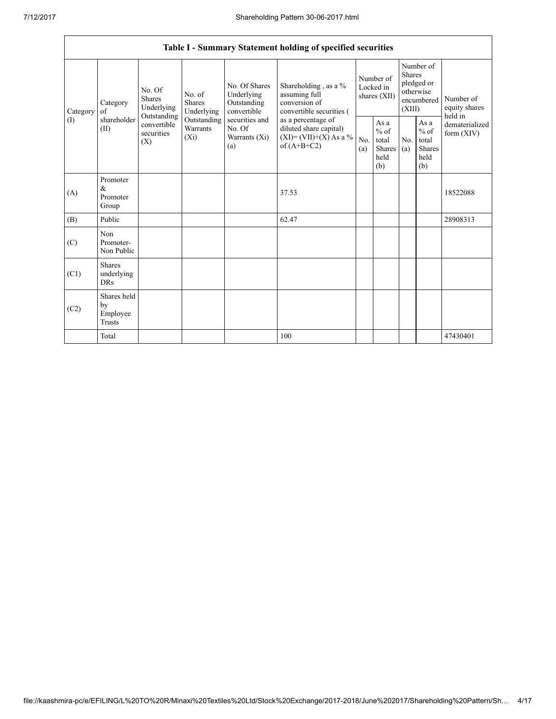|          |                                           |                                                 |                                       |                                                                                                                                                                                                                                                                                                   | Table I - Summary Statement holding of specified securities |                                                    |            |                                                                               |                                           |                            |
|----------|-------------------------------------------|-------------------------------------------------|---------------------------------------|---------------------------------------------------------------------------------------------------------------------------------------------------------------------------------------------------------------------------------------------------------------------------------------------------|-------------------------------------------------------------|----------------------------------------------------|------------|-------------------------------------------------------------------------------|-------------------------------------------|----------------------------|
| Category | Category<br>of                            | No. Of<br><b>Shares</b><br>Underlying           | No. of<br><b>Shares</b><br>Underlying | No. Of Shares<br>Shareholding, as a %<br>assuming full<br>Underlying<br>conversion of<br>Outstanding<br>convertible<br>convertible securities (<br>securities and<br>as a percentage of<br>No. Of<br>diluted share capital)<br>$(XI) = (VII)+(X) As a %$<br>Warrants (Xi)<br>of $(A+B+C2)$<br>(a) |                                                             | Number of<br>Locked in<br>shares (XII)             |            | Number of<br><b>Shares</b><br>pledged or<br>otherwise<br>encumbered<br>(XIII) |                                           | Number of<br>equity shares |
| (1)      | shareholder<br>(II)                       | Outstanding<br>convertible<br>securities<br>(X) | Outstanding<br>Warrants<br>$(X_i)$    |                                                                                                                                                                                                                                                                                                   | No.<br>(a)                                                  | As $a$<br>$%$ of<br>total<br>Shares<br>held<br>(b) | No.<br>(a) | As a<br>$%$ of<br>total<br><b>Shares</b><br>held<br>(b)                       | held in<br>dematerialized<br>form $(XIV)$ |                            |
| (A)      | Promoter<br>&<br>Promoter<br>Group        |                                                 |                                       |                                                                                                                                                                                                                                                                                                   | 37.53                                                       |                                                    |            |                                                                               |                                           | 18522088                   |
| (B)      | Public                                    |                                                 |                                       |                                                                                                                                                                                                                                                                                                   | 62.47                                                       |                                                    |            |                                                                               |                                           | 28908313                   |
| (C)      | Non<br>Promoter-<br>Non Public            |                                                 |                                       |                                                                                                                                                                                                                                                                                                   |                                                             |                                                    |            |                                                                               |                                           |                            |
| (C1)     | <b>Shares</b><br>underlying<br><b>DRs</b> |                                                 |                                       |                                                                                                                                                                                                                                                                                                   |                                                             |                                                    |            |                                                                               |                                           |                            |
| (C2)     | Shares held<br>by<br>Employee<br>Trusts   |                                                 |                                       |                                                                                                                                                                                                                                                                                                   |                                                             |                                                    |            |                                                                               |                                           |                            |
|          | Total                                     |                                                 |                                       |                                                                                                                                                                                                                                                                                                   | 100                                                         |                                                    |            |                                                                               |                                           | 47430401                   |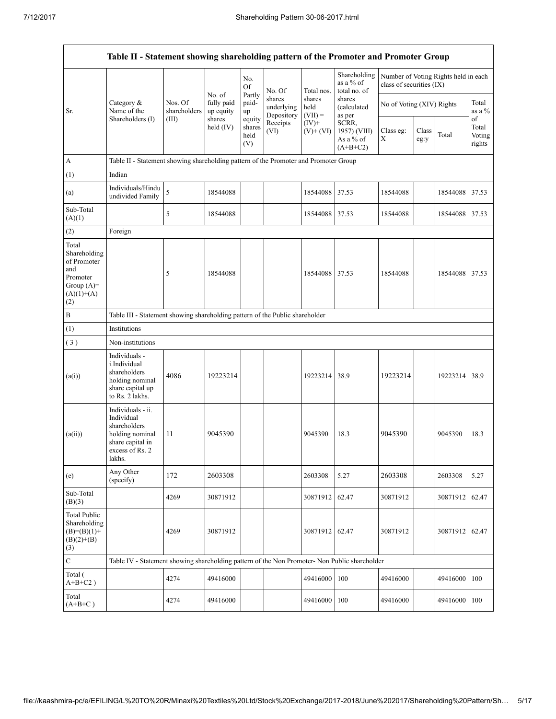|                                                                                                | Table II - Statement showing shareholding pattern of the Promoter and Promoter Group                                |                                                  |                                   |                                           |                                    |                             |                                           |                                                                  |  |                         |       |
|------------------------------------------------------------------------------------------------|---------------------------------------------------------------------------------------------------------------------|--------------------------------------------------|-----------------------------------|-------------------------------------------|------------------------------------|-----------------------------|-------------------------------------------|------------------------------------------------------------------|--|-------------------------|-------|
|                                                                                                |                                                                                                                     |                                                  | No. of<br>fully paid<br>up equity | No.<br><b>Of</b><br>Partly<br>paid-<br>up | No. Of                             | Total nos.                  | Shareholding<br>as a % of<br>total no. of | Number of Voting Rights held in each<br>class of securities (IX) |  |                         |       |
| Sr.                                                                                            | Category &<br>Name of the<br>Shareholders (I)                                                                       | Nos. Of<br>shareholders                          |                                   |                                           | shares<br>underlying<br>Depository | shares<br>held<br>$(VII) =$ | shares<br><i>(calculated)</i><br>as per   | No of Voting (XIV) Rights                                        |  | Total<br>as a $%$<br>of |       |
|                                                                                                | shares<br>(III)<br>equity<br>Receipts<br>$(IV)+$<br>held $(IV)$<br>shares<br>(VI)<br>$(V)$ + $(VI)$<br>held<br>(V)  | SCRR,<br>1957) (VIII)<br>As a % of<br>$(A+B+C2)$ | Class eg:<br>Χ                    | Class<br>eg:y                             | Total                              | Total<br>Voting<br>rights   |                                           |                                                                  |  |                         |       |
| $\boldsymbol{\mathsf{A}}$                                                                      | Table II - Statement showing shareholding pattern of the Promoter and Promoter Group                                |                                                  |                                   |                                           |                                    |                             |                                           |                                                                  |  |                         |       |
| (1)                                                                                            | Indian                                                                                                              |                                                  |                                   |                                           |                                    |                             |                                           |                                                                  |  |                         |       |
| (a)                                                                                            | Individuals/Hindu<br>undivided Family                                                                               | 5                                                | 18544088                          |                                           |                                    | 18544088                    | 37.53                                     | 18544088                                                         |  | 18544088                | 37.53 |
| Sub-Total<br>(A)(1)                                                                            |                                                                                                                     | 5                                                | 18544088                          |                                           |                                    | 18544088                    | 37.53                                     | 18544088                                                         |  | 18544088                | 37.53 |
| (2)                                                                                            | Foreign                                                                                                             |                                                  |                                   |                                           |                                    |                             |                                           |                                                                  |  |                         |       |
| Total<br>Shareholding<br>of Promoter<br>and<br>Promoter<br>Group $(A)=$<br>$(A)(1)+(A)$<br>(2) |                                                                                                                     | 5                                                | 18544088                          |                                           |                                    | 18544088 37.53              |                                           | 18544088                                                         |  | 18544088                | 37.53 |
| B                                                                                              | Table III - Statement showing shareholding pattern of the Public shareholder                                        |                                                  |                                   |                                           |                                    |                             |                                           |                                                                  |  |                         |       |
| (1)                                                                                            | Institutions                                                                                                        |                                                  |                                   |                                           |                                    |                             |                                           |                                                                  |  |                         |       |
| (3)                                                                                            | Non-institutions                                                                                                    |                                                  |                                   |                                           |                                    |                             |                                           |                                                                  |  |                         |       |
| (a(i))                                                                                         | Individuals -<br><i>i.Individual</i><br>shareholders<br>holding nominal<br>share capital up<br>to Rs. 2 lakhs.      | 4086                                             | 19223214                          |                                           |                                    | 19223214                    | 38.9                                      | 19223214                                                         |  | 19223214                | 38.9  |
| (a(ii))                                                                                        | Individuals - ii.<br>Individual<br>shareholders<br>holding nominal<br>share capital in<br>excess of Rs. 2<br>lakhs. | 11                                               | 9045390                           |                                           |                                    | 9045390                     | 18.3                                      | 9045390                                                          |  | 9045390                 | 18.3  |
| (e)                                                                                            | Any Other<br>(specify)                                                                                              | 172                                              | 2603308                           |                                           |                                    | 2603308                     | 5.27                                      | 2603308                                                          |  | 2603308                 | 5.27  |
| Sub-Total<br>(B)(3)                                                                            |                                                                                                                     | 4269                                             | 30871912                          |                                           |                                    | 30871912                    | 62.47                                     | 30871912                                                         |  | 30871912                | 62.47 |
| <b>Total Public</b><br>Shareholding<br>$(B)=(B)(1)+$<br>$(B)(2)+(B)$<br>(3)                    |                                                                                                                     | 4269                                             | 30871912                          |                                           |                                    | 30871912                    | 62.47                                     | 30871912                                                         |  | 30871912                | 62.47 |
| $\mathbf C$                                                                                    | Table IV - Statement showing shareholding pattern of the Non Promoter- Non Public shareholder                       |                                                  |                                   |                                           |                                    |                             |                                           |                                                                  |  |                         |       |
| Total (<br>$A+B+C2$ )                                                                          |                                                                                                                     | 4274                                             | 49416000                          |                                           |                                    | 49416000                    | 100                                       | 49416000                                                         |  | 49416000                | 100   |
| Total<br>$(A+B+C)$                                                                             |                                                                                                                     | 4274                                             | 49416000                          |                                           |                                    | 49416000                    | 100                                       | 49416000                                                         |  | 49416000                | 100   |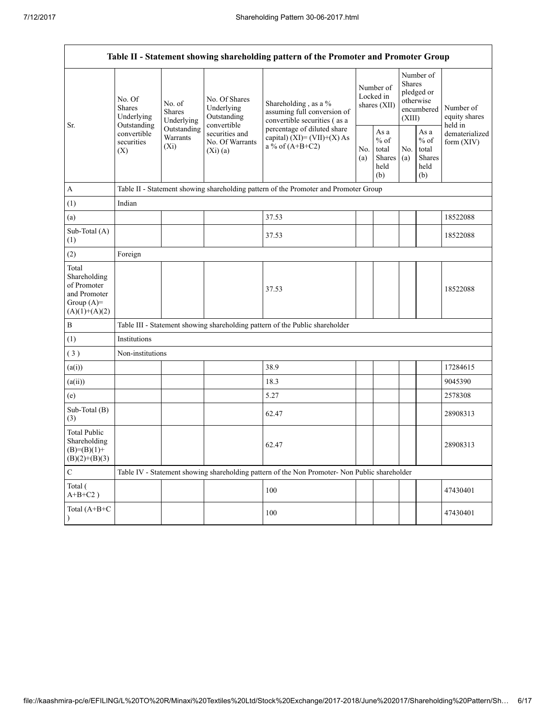|                                                                                         |                                                                                                                                                                                                                                                                                                                                                                                                                                                                       |                       | Table II - Statement showing shareholding pattern of the Promoter and Promoter Group          |                                          |                                                  |                                                                               |  |                                       |
|-----------------------------------------------------------------------------------------|-----------------------------------------------------------------------------------------------------------------------------------------------------------------------------------------------------------------------------------------------------------------------------------------------------------------------------------------------------------------------------------------------------------------------------------------------------------------------|-----------------------|-----------------------------------------------------------------------------------------------|------------------------------------------|--------------------------------------------------|-------------------------------------------------------------------------------|--|---------------------------------------|
| Sr.                                                                                     | No. Of<br>No. Of Shares<br>Shareholding, as a %<br>No. of<br><b>Shares</b><br>Underlying<br><b>Shares</b><br>assuming full conversion of<br>Outstanding<br>Underlying<br>convertible securities (as a<br>Underlying<br>convertible<br>Outstanding<br>Outstanding<br>percentage of diluted share<br>convertible<br>securities and<br>Warrants<br>capital) $(XI) = (VII)+(X) As$<br>securities<br>No. Of Warrants<br>$a \& $ of $(A+B+C2)$<br>$(X_i)$<br>(Xi)(a)<br>(X) |                       |                                                                                               | Number of<br>Locked in<br>shares $(XII)$ |                                                  | Number of<br><b>Shares</b><br>pledged or<br>otherwise<br>encumbered<br>(XIII) |  | Number of<br>equity shares<br>held in |
|                                                                                         |                                                                                                                                                                                                                                                                                                                                                                                                                                                                       | N <sub>0</sub><br>(a) | As $\mathbf{a}$<br>$%$ of<br>total<br>Shares<br>held<br>(b)                                   | No.<br>(a)                               | As a<br>$%$ of<br>total<br>Shares<br>held<br>(b) | dematerialized<br>form (XIV)                                                  |  |                                       |
| $\mathbf{A}$                                                                            |                                                                                                                                                                                                                                                                                                                                                                                                                                                                       |                       | Table II - Statement showing shareholding pattern of the Promoter and Promoter Group          |                                          |                                                  |                                                                               |  |                                       |
| (1)                                                                                     | Indian                                                                                                                                                                                                                                                                                                                                                                                                                                                                |                       |                                                                                               |                                          |                                                  |                                                                               |  |                                       |
| (a)                                                                                     |                                                                                                                                                                                                                                                                                                                                                                                                                                                                       |                       | 37.53                                                                                         |                                          |                                                  |                                                                               |  | 18522088                              |
| Sub-Total (A)<br>(1)                                                                    |                                                                                                                                                                                                                                                                                                                                                                                                                                                                       |                       | 37.53                                                                                         |                                          |                                                  |                                                                               |  | 18522088                              |
| (2)                                                                                     | Foreign                                                                                                                                                                                                                                                                                                                                                                                                                                                               |                       |                                                                                               |                                          |                                                  |                                                                               |  |                                       |
| Total<br>Shareholding<br>of Promoter<br>and Promoter<br>Group $(A)=$<br>$(A)(1)+(A)(2)$ |                                                                                                                                                                                                                                                                                                                                                                                                                                                                       |                       | 37.53                                                                                         |                                          |                                                  |                                                                               |  | 18522088                              |
| $\, {\bf B}$                                                                            |                                                                                                                                                                                                                                                                                                                                                                                                                                                                       |                       | Table III - Statement showing shareholding pattern of the Public shareholder                  |                                          |                                                  |                                                                               |  |                                       |
| (1)                                                                                     | Institutions                                                                                                                                                                                                                                                                                                                                                                                                                                                          |                       |                                                                                               |                                          |                                                  |                                                                               |  |                                       |
| (3)                                                                                     | Non-institutions                                                                                                                                                                                                                                                                                                                                                                                                                                                      |                       |                                                                                               |                                          |                                                  |                                                                               |  |                                       |
| (a(i))                                                                                  |                                                                                                                                                                                                                                                                                                                                                                                                                                                                       |                       | 38.9                                                                                          |                                          |                                                  |                                                                               |  | 17284615                              |
| (a(ii))                                                                                 |                                                                                                                                                                                                                                                                                                                                                                                                                                                                       |                       | 18.3                                                                                          |                                          |                                                  |                                                                               |  | 9045390                               |
| (e)                                                                                     |                                                                                                                                                                                                                                                                                                                                                                                                                                                                       |                       | 5.27                                                                                          |                                          |                                                  |                                                                               |  | 2578308                               |
| Sub-Total (B)<br>(3)                                                                    |                                                                                                                                                                                                                                                                                                                                                                                                                                                                       |                       | 62.47                                                                                         |                                          |                                                  |                                                                               |  | 28908313                              |
| <b>Total Public</b><br>Shareholding<br>$(B)=(B)(1)+$<br>$(B)(2)+(B)(3)$                 |                                                                                                                                                                                                                                                                                                                                                                                                                                                                       |                       | 62.47                                                                                         |                                          |                                                  |                                                                               |  | 28908313                              |
| $\mathbf C$                                                                             |                                                                                                                                                                                                                                                                                                                                                                                                                                                                       |                       | Table IV - Statement showing shareholding pattern of the Non Promoter- Non Public shareholder |                                          |                                                  |                                                                               |  |                                       |
| Total (<br>$A+B+C2$ )                                                                   |                                                                                                                                                                                                                                                                                                                                                                                                                                                                       |                       | 100                                                                                           |                                          |                                                  |                                                                               |  | 47430401                              |
| Total (A+B+C<br>$\mathcal{E}$                                                           |                                                                                                                                                                                                                                                                                                                                                                                                                                                                       |                       | 100                                                                                           |                                          |                                                  |                                                                               |  | 47430401                              |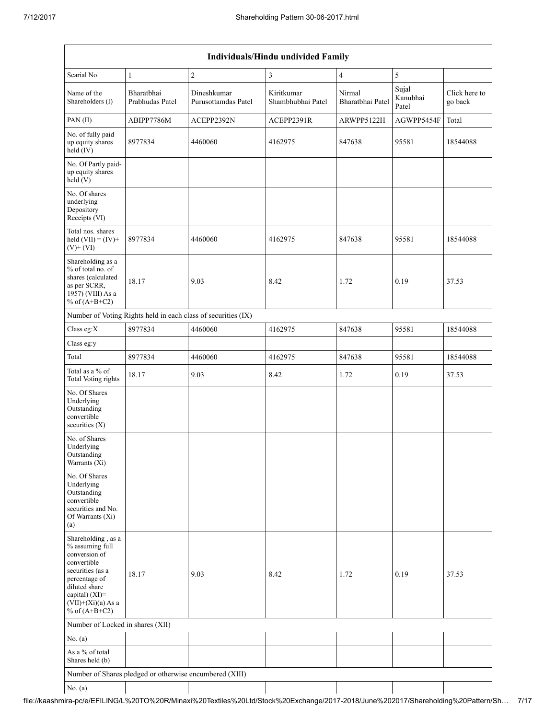|                                                                                                                                                                                          | Individuals/Hindu undivided Family                      |                                                               |                                 |                            |                            |                          |  |  |
|------------------------------------------------------------------------------------------------------------------------------------------------------------------------------------------|---------------------------------------------------------|---------------------------------------------------------------|---------------------------------|----------------------------|----------------------------|--------------------------|--|--|
| Searial No.                                                                                                                                                                              | $\,1\,$                                                 | $\overline{c}$                                                | 3                               | $\overline{4}$             | 5                          |                          |  |  |
| Name of the<br>Shareholders (I)                                                                                                                                                          | Bharatbhai<br>Prabhudas Patel                           | Dineshkumar<br>Purusottamdas Patel                            | Kiritkumar<br>Shambhubhai Patel | Nirmal<br>Bharatbhai Patel | Sujal<br>Kanubhai<br>Patel | Click here to<br>go back |  |  |
| PAN (II)                                                                                                                                                                                 | ABIPP7786M                                              | ACEPP2392N                                                    | ACEPP2391R                      | ARWPP5122H                 | AGWPP5454F                 | Total                    |  |  |
| No. of fully paid<br>up equity shares<br>$held$ (IV)                                                                                                                                     | 8977834                                                 | 4460060                                                       | 4162975                         | 847638                     | 95581                      | 18544088                 |  |  |
| No. Of Partly paid-<br>up equity shares<br>held(V)                                                                                                                                       |                                                         |                                                               |                                 |                            |                            |                          |  |  |
| No. Of shares<br>underlying<br>Depository<br>Receipts (VI)                                                                                                                               |                                                         |                                                               |                                 |                            |                            |                          |  |  |
| Total nos. shares<br>held $(VII) = (IV) +$<br>$(V)$ + $(VI)$                                                                                                                             | 8977834                                                 | 4460060                                                       | 4162975                         | 847638                     | 95581                      | 18544088                 |  |  |
| Shareholding as a<br>% of total no. of<br>shares (calculated<br>as per SCRR,<br>1957) (VIII) As a<br>% of $(A+B+C2)$                                                                     | 18.17                                                   | 9.03                                                          | 8.42                            | 1.72                       | 0.19                       | 37.53                    |  |  |
|                                                                                                                                                                                          |                                                         | Number of Voting Rights held in each class of securities (IX) |                                 |                            |                            |                          |  |  |
| Class eg:X                                                                                                                                                                               | 8977834                                                 | 4460060                                                       | 4162975                         | 847638                     | 95581                      | 18544088                 |  |  |
| Class eg:y                                                                                                                                                                               |                                                         |                                                               |                                 |                            |                            |                          |  |  |
| Total                                                                                                                                                                                    | 8977834                                                 | 4460060                                                       | 4162975                         | 847638                     | 95581                      | 18544088                 |  |  |
| Total as a % of<br>Total Voting rights                                                                                                                                                   | 18.17                                                   | 9.03                                                          | 8.42                            | 1.72                       | 0.19                       | 37.53                    |  |  |
| No. Of Shares<br>Underlying<br>Outstanding<br>convertible<br>securities $(X)$                                                                                                            |                                                         |                                                               |                                 |                            |                            |                          |  |  |
| No. of Shares<br>Underlying<br>Outstanding<br>Warrants (Xi)                                                                                                                              |                                                         |                                                               |                                 |                            |                            |                          |  |  |
| No. Of Shares<br>Underlying<br>Outstanding<br>convertible<br>securities and No.<br>Of Warrants (Xi)<br>(a)                                                                               |                                                         |                                                               |                                 |                            |                            |                          |  |  |
| Shareholding, as a<br>% assuming full<br>conversion of<br>convertible<br>securities (as a<br>percentage of<br>diluted share<br>capital) (XI)=<br>$(VII)+(Xi)(a) As a$<br>% of $(A+B+C2)$ | 18.17                                                   | 9.03                                                          | 8.42                            | 1.72                       | 0.19                       | 37.53                    |  |  |
| Number of Locked in shares (XII)                                                                                                                                                         |                                                         |                                                               |                                 |                            |                            |                          |  |  |
| No. (a)                                                                                                                                                                                  |                                                         |                                                               |                                 |                            |                            |                          |  |  |
| As a % of total<br>Shares held (b)                                                                                                                                                       |                                                         |                                                               |                                 |                            |                            |                          |  |  |
|                                                                                                                                                                                          | Number of Shares pledged or otherwise encumbered (XIII) |                                                               |                                 |                            |                            |                          |  |  |
| No. $(a)$                                                                                                                                                                                |                                                         |                                                               |                                 |                            |                            |                          |  |  |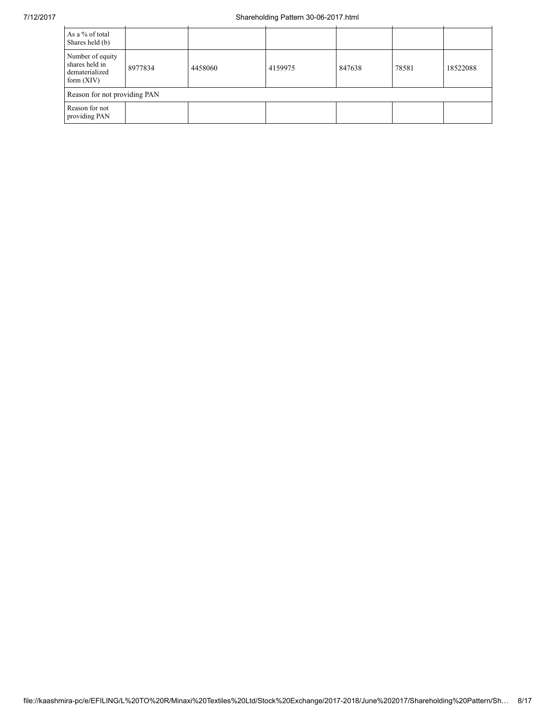| As a % of total<br>Shares held (b)                                   |                              |         |         |        |       |          |  |
|----------------------------------------------------------------------|------------------------------|---------|---------|--------|-------|----------|--|
| Number of equity<br>shares held in<br>dematerialized<br>form $(XIV)$ | 8977834                      | 4458060 | 4159975 | 847638 | 78581 | 18522088 |  |
|                                                                      | Reason for not providing PAN |         |         |        |       |          |  |
| Reason for not<br>providing PAN                                      |                              |         |         |        |       |          |  |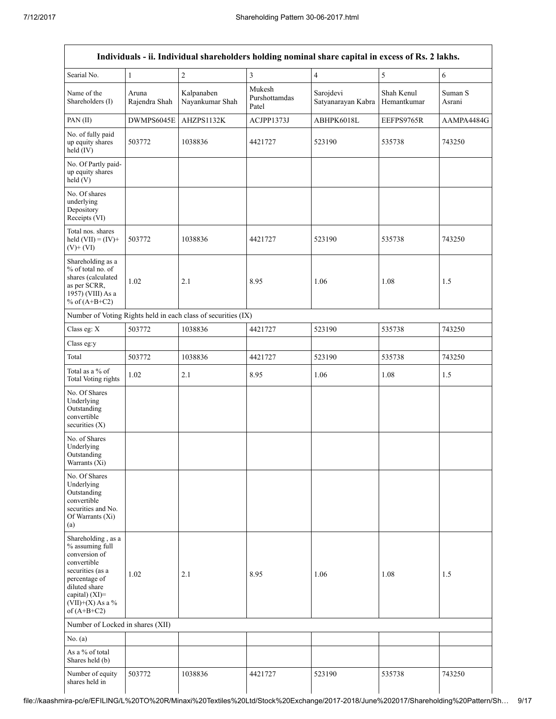|                                                                                                                                                                                      |                        |                                                               |                                  | Individuals - ii. Individual shareholders holding nominal share capital in excess of Rs. 2 lakhs. |                           |                   |
|--------------------------------------------------------------------------------------------------------------------------------------------------------------------------------------|------------------------|---------------------------------------------------------------|----------------------------------|---------------------------------------------------------------------------------------------------|---------------------------|-------------------|
| Searial No.                                                                                                                                                                          | 1                      | $\sqrt{2}$                                                    | 3                                | $\overline{4}$                                                                                    | 5                         | 6                 |
| Name of the<br>Shareholders (I)                                                                                                                                                      | Aruna<br>Rajendra Shah | Kalpanaben<br>Nayankumar Shah                                 | Mukesh<br>Purshottamdas<br>Patel | Sarojdevi<br>Satyanarayan Kabra                                                                   | Shah Kenul<br>Hemantkumar | Suman S<br>Asrani |
| PAN (II)                                                                                                                                                                             | DWMPS6045E             | AHZPS1132K                                                    | ACJPP1373J                       | ABHPK6018L                                                                                        | EEFPS9765R                | AAMPA4484G        |
| No. of fully paid<br>up equity shares<br>held (IV)                                                                                                                                   | 503772                 | 1038836                                                       | 4421727                          | 523190                                                                                            | 535738                    | 743250            |
| No. Of Partly paid-<br>up equity shares<br>held(V)                                                                                                                                   |                        |                                                               |                                  |                                                                                                   |                           |                   |
| No. Of shares<br>underlying<br>Depository<br>Receipts (VI)                                                                                                                           |                        |                                                               |                                  |                                                                                                   |                           |                   |
| Total nos. shares<br>held $(VII) = (IV) +$<br>$(V)+(VI)$                                                                                                                             | 503772                 | 1038836                                                       | 4421727                          | 523190                                                                                            | 535738                    | 743250            |
| Shareholding as a<br>% of total no. of<br>shares (calculated<br>as per SCRR,<br>1957) (VIII) As a<br>% of $(A+B+C2)$                                                                 | 1.02                   | 2.1                                                           | 8.95                             | 1.06                                                                                              | 1.08                      | 1.5               |
|                                                                                                                                                                                      |                        | Number of Voting Rights held in each class of securities (IX) |                                  |                                                                                                   |                           |                   |
| Class eg: X                                                                                                                                                                          | 503772                 | 1038836                                                       | 4421727                          | 523190                                                                                            | 535738                    | 743250            |
| Class eg:y                                                                                                                                                                           |                        |                                                               |                                  |                                                                                                   |                           |                   |
| Total                                                                                                                                                                                | 503772                 | 1038836                                                       | 4421727                          | 523190                                                                                            | 535738                    | 743250            |
| Total as a % of<br>Total Voting rights                                                                                                                                               | 1.02                   | 2.1                                                           | 8.95                             | 1.06                                                                                              | 1.08                      | 1.5               |
| No. Of Shares<br>Underlying<br>Outstanding<br>convertible<br>securities $(X)$                                                                                                        |                        |                                                               |                                  |                                                                                                   |                           |                   |
| No. of Shares<br>Underlying<br>Outstanding<br>Warrants (Xi)                                                                                                                          |                        |                                                               |                                  |                                                                                                   |                           |                   |
| No. Of Shares<br>Underlying<br>Outstanding<br>convertible<br>securities and No.<br>Of Warrants (Xi)<br>(a)                                                                           |                        |                                                               |                                  |                                                                                                   |                           |                   |
| Shareholding, as a<br>% assuming full<br>conversion of<br>convertible<br>securities (as a<br>percentage of<br>diluted share<br>capital) (XI)=<br>$(VII)+(X)$ As a %<br>of $(A+B+C2)$ | 1.02                   | 2.1                                                           | 8.95                             | 1.06                                                                                              | 1.08                      | 1.5               |
| Number of Locked in shares (XII)                                                                                                                                                     |                        |                                                               |                                  |                                                                                                   |                           |                   |
| No. $(a)$                                                                                                                                                                            |                        |                                                               |                                  |                                                                                                   |                           |                   |
| As a % of total<br>Shares held (b)                                                                                                                                                   |                        |                                                               |                                  |                                                                                                   |                           |                   |
| Number of equity<br>shares held in                                                                                                                                                   | 503772                 | 1038836                                                       | 4421727                          | 523190                                                                                            | 535738                    | 743250            |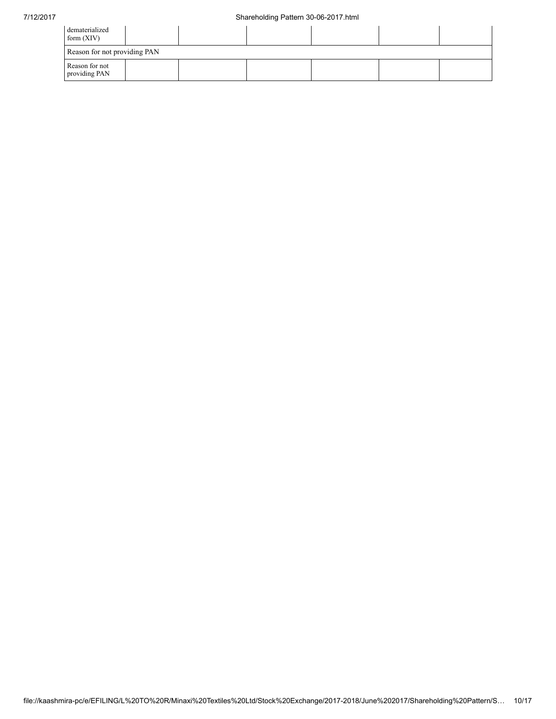| dematerialized<br>form $(XIV)$  |  |  |  |
|---------------------------------|--|--|--|
| Reason for not providing PAN    |  |  |  |
| Reason for not<br>providing PAN |  |  |  |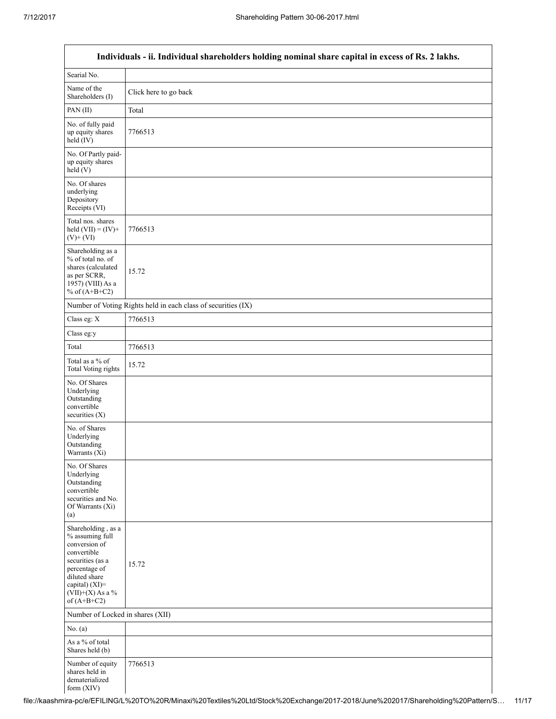Г

a l

|                                                                                                                                                                                         | Individuals - ii. Individual shareholders holding nominal share capital in excess of Rs. 2 lakhs. |
|-----------------------------------------------------------------------------------------------------------------------------------------------------------------------------------------|---------------------------------------------------------------------------------------------------|
| Searial No.                                                                                                                                                                             |                                                                                                   |
| Name of the<br>Shareholders (I)                                                                                                                                                         | Click here to go back                                                                             |
| PAN(II)                                                                                                                                                                                 | Total                                                                                             |
| No. of fully paid<br>up equity shares<br>held (IV)                                                                                                                                      | 7766513                                                                                           |
| No. Of Partly paid-<br>up equity shares<br>held (V)                                                                                                                                     |                                                                                                   |
| No. Of shares<br>underlying<br>Depository<br>Receipts (VI)                                                                                                                              |                                                                                                   |
| Total nos. shares<br>held $(VII) = (IV) +$<br>$(V)$ + $(VI)$                                                                                                                            | 7766513                                                                                           |
| Shareholding as a<br>% of total no. of<br>shares (calculated<br>as per SCRR,<br>1957) (VIII) As a<br>% of $(A+B+C2)$                                                                    | 15.72                                                                                             |
|                                                                                                                                                                                         | Number of Voting Rights held in each class of securities (IX)                                     |
| Class eg: X                                                                                                                                                                             | 7766513                                                                                           |
| Class eg:y                                                                                                                                                                              |                                                                                                   |
| Total                                                                                                                                                                                   | 7766513                                                                                           |
| Total as a % of<br><b>Total Voting rights</b>                                                                                                                                           | 15.72                                                                                             |
| No. Of Shares<br>Underlying<br>Outstanding<br>convertible<br>securities $(X)$                                                                                                           |                                                                                                   |
| No. of Shares<br>Underlying<br>Outstanding<br>Warrants (Xi)                                                                                                                             |                                                                                                   |
| No. Of Shares<br>Underlying<br>Outstanding<br>convertible<br>securities and No.<br>Of Warrants (Xi)<br>(a)                                                                              |                                                                                                   |
| Shareholding, as a<br>% assuming full<br>conversion of<br>convertible<br>securities (as a<br>percentage of<br>diluted share<br>capital) $(XI)$ =<br>$(VII)+(X)$ As a %<br>of $(A+B+C2)$ | 15.72                                                                                             |
| Number of Locked in shares (XII)                                                                                                                                                        |                                                                                                   |
| No. $(a)$                                                                                                                                                                               |                                                                                                   |
| As a % of total<br>Shares held (b)                                                                                                                                                      |                                                                                                   |
| Number of equity<br>shares held in<br>dematerialized<br>form $(XIV)$                                                                                                                    | 7766513                                                                                           |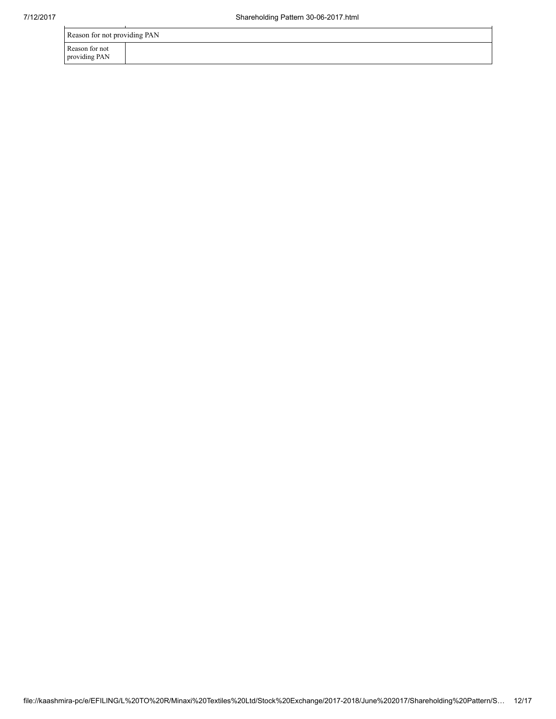| Reason for not providing PAN    |  |  |  |  |  |  |
|---------------------------------|--|--|--|--|--|--|
| Reason for not<br>providing PAN |  |  |  |  |  |  |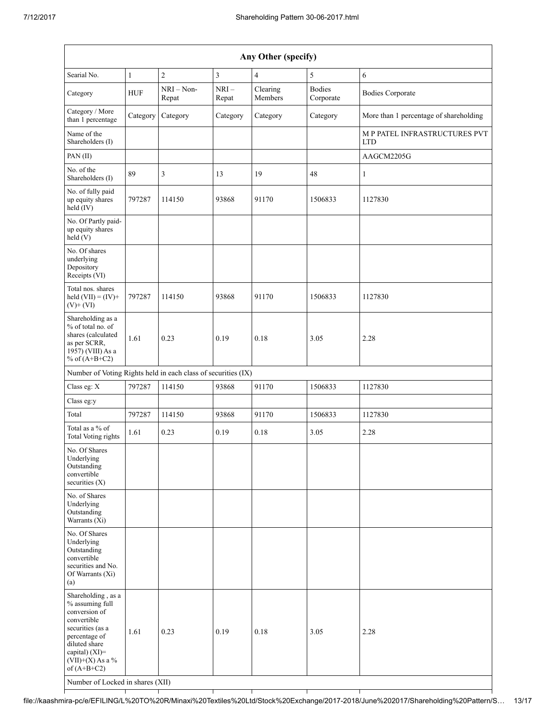| Any Other (specify)                                                                                                                                                                                                      |              |                       |                         |                     |                            |                                             |  |
|--------------------------------------------------------------------------------------------------------------------------------------------------------------------------------------------------------------------------|--------------|-----------------------|-------------------------|---------------------|----------------------------|---------------------------------------------|--|
| Searial No.                                                                                                                                                                                                              | $\mathbf{1}$ | $\overline{c}$        | $\overline{\mathbf{3}}$ | $\overline{4}$      | $\sqrt{5}$                 | 6                                           |  |
| Category                                                                                                                                                                                                                 | <b>HUF</b>   | $NRI - Non-$<br>Repat | $NRI-$<br>Repat         | Clearing<br>Members | <b>Bodies</b><br>Corporate | <b>Bodies Corporate</b>                     |  |
| Category / More<br>than 1 percentage                                                                                                                                                                                     | Category     | Category              | Category                | Category            | Category                   | More than 1 percentage of shareholding      |  |
| Name of the<br>Shareholders (I)                                                                                                                                                                                          |              |                       |                         |                     |                            | M P PATEL INFRASTRUCTURES PVT<br><b>LTD</b> |  |
| PAN (II)                                                                                                                                                                                                                 |              |                       |                         |                     |                            | AAGCM2205G                                  |  |
| No. of the<br>Shareholders (I)                                                                                                                                                                                           | 89           | 3                     | 13                      | 19                  | 48                         | 1                                           |  |
| No. of fully paid<br>up equity shares<br>held (IV)                                                                                                                                                                       | 797287       | 114150                | 93868                   | 91170               | 1506833                    | 1127830                                     |  |
| No. Of Partly paid-<br>up equity shares<br>held(V)                                                                                                                                                                       |              |                       |                         |                     |                            |                                             |  |
| No. Of shares<br>underlying<br>Depository<br>Receipts (VI)                                                                                                                                                               |              |                       |                         |                     |                            |                                             |  |
| Total nos. shares<br>held $(VII) = (IV) +$<br>$(V)$ + $(VI)$                                                                                                                                                             | 797287       | 114150                | 93868                   | 91170               | 1506833                    | 1127830                                     |  |
| Shareholding as a<br>% of total no. of<br>shares (calculated<br>as per SCRR,<br>1957) (VIII) As a<br>% of $(A+B+C2)$                                                                                                     | 1.61         | 0.23                  | 0.19                    | 0.18                | 3.05                       | 2.28                                        |  |
| Number of Voting Rights held in each class of securities (IX)                                                                                                                                                            |              |                       |                         |                     |                            |                                             |  |
| Class eg: X                                                                                                                                                                                                              | 797287       | 114150                | 93868                   | 91170               | 1506833                    | 1127830                                     |  |
| Class eg:y                                                                                                                                                                                                               |              |                       |                         |                     |                            |                                             |  |
| Total                                                                                                                                                                                                                    | 797287       | 114150                | 93868                   | 91170               | 1506833                    | 1127830                                     |  |
| Total as a % of<br>Total Voting rights                                                                                                                                                                                   | 1.61         | 0.23                  | 0.19                    | 0.18                | 3.05                       | 2.28                                        |  |
| No. Of Shares<br>Underlying<br>Outstanding<br>convertible<br>securities $(X)$                                                                                                                                            |              |                       |                         |                     |                            |                                             |  |
| No. of Shares<br>Underlying<br>Outstanding<br>Warrants (Xi)                                                                                                                                                              |              |                       |                         |                     |                            |                                             |  |
| No. Of Shares<br>Underlying<br>Outstanding<br>convertible<br>securities and No.<br>Of Warrants (Xi)<br>(a)                                                                                                               |              |                       |                         |                     |                            |                                             |  |
| Shareholding, as a<br>% assuming full<br>conversion of<br>convertible<br>securities (as a<br>percentage of<br>diluted share<br>capital) (XI)=<br>$(VII)+(X)$ As a %<br>of $(A+B+C2)$<br>Number of Locked in shares (XII) | 1.61         | 0.23                  | 0.19                    | 0.18                | 3.05                       | 2.28                                        |  |

file://kaashmira-pc/e/EFILING/L%20TO%20R/Minaxi%20Textiles%20Ltd/Stock%20Exchange/2017-2018/June%202017/Shareholding%20Pattern/S… 13/17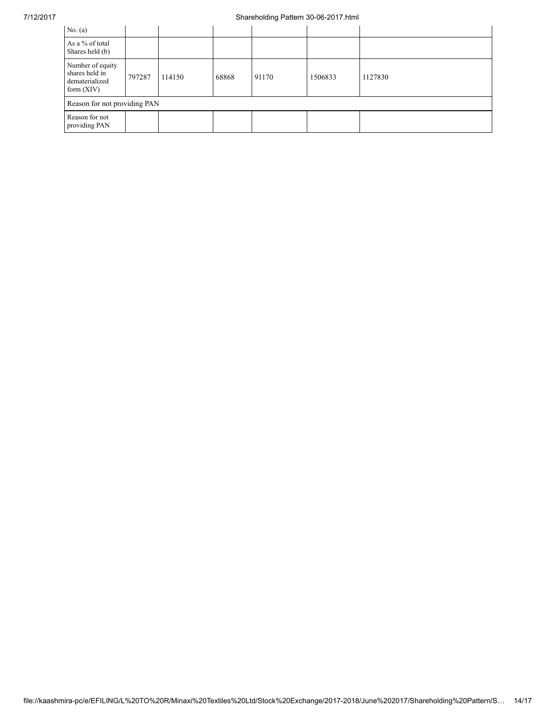## 7/12/2017 Shareholding Pattern 30-06-2017.html

| No. $(a)$                                                            |        |        |       |       |         |         |
|----------------------------------------------------------------------|--------|--------|-------|-------|---------|---------|
| As a % of total<br>Shares held (b)                                   |        |        |       |       |         |         |
| Number of equity<br>shares held in<br>dematerialized<br>form $(XIV)$ | 797287 | 114150 | 68868 | 91170 | 1506833 | 1127830 |
| Reason for not providing PAN                                         |        |        |       |       |         |         |
| Reason for not<br>providing PAN                                      |        |        |       |       |         |         |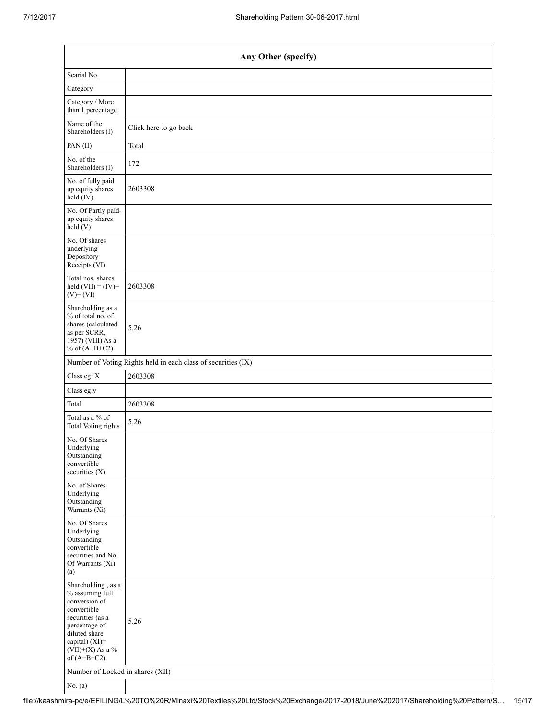| Any Other (specify)                                                                                                                                                                  |                                                               |  |  |  |  |  |  |  |
|--------------------------------------------------------------------------------------------------------------------------------------------------------------------------------------|---------------------------------------------------------------|--|--|--|--|--|--|--|
| Searial No.                                                                                                                                                                          |                                                               |  |  |  |  |  |  |  |
| Category                                                                                                                                                                             |                                                               |  |  |  |  |  |  |  |
| Category / More<br>than 1 percentage                                                                                                                                                 |                                                               |  |  |  |  |  |  |  |
| Name of the<br>Shareholders (I)                                                                                                                                                      | Click here to go back                                         |  |  |  |  |  |  |  |
| PAN(II)                                                                                                                                                                              | Total                                                         |  |  |  |  |  |  |  |
| No. of the<br>Shareholders (I)                                                                                                                                                       | 172                                                           |  |  |  |  |  |  |  |
| No. of fully paid<br>up equity shares<br>held (IV)                                                                                                                                   | 2603308                                                       |  |  |  |  |  |  |  |
| No. Of Partly paid-<br>up equity shares<br>held (V)                                                                                                                                  |                                                               |  |  |  |  |  |  |  |
| No. Of shares<br>underlying<br>Depository<br>Receipts (VI)                                                                                                                           |                                                               |  |  |  |  |  |  |  |
| Total nos. shares<br>held $(VII) = (IV) +$<br>$(V)$ + $(VI)$                                                                                                                         | 2603308                                                       |  |  |  |  |  |  |  |
| Shareholding as a<br>% of total no. of<br>shares (calculated<br>as per SCRR,<br>1957) (VIII) As a<br>% of $(A+B+C2)$                                                                 | 5.26                                                          |  |  |  |  |  |  |  |
|                                                                                                                                                                                      | Number of Voting Rights held in each class of securities (IX) |  |  |  |  |  |  |  |
| Class eg: X                                                                                                                                                                          | 2603308                                                       |  |  |  |  |  |  |  |
| Class eg:y                                                                                                                                                                           |                                                               |  |  |  |  |  |  |  |
| Total                                                                                                                                                                                | 2603308                                                       |  |  |  |  |  |  |  |
| Total as a % of<br><b>Total Voting rights</b>                                                                                                                                        | 5.26                                                          |  |  |  |  |  |  |  |
| No. Of Shares<br>Underlying<br>Outstanding<br>convertible<br>securities $(X)$                                                                                                        |                                                               |  |  |  |  |  |  |  |
| No. of Shares<br>Underlying<br>Outstanding<br>Warrants (Xi)                                                                                                                          |                                                               |  |  |  |  |  |  |  |
| No. Of Shares<br>Underlying<br>Outstanding<br>convertible<br>securities and No.<br>Of Warrants (Xi)<br>(a)                                                                           |                                                               |  |  |  |  |  |  |  |
| Shareholding, as a<br>% assuming full<br>conversion of<br>convertible<br>securities (as a<br>percentage of<br>diluted share<br>capital) (XI)=<br>$(VII)+(X)$ As a %<br>of $(A+B+C2)$ | 5.26                                                          |  |  |  |  |  |  |  |
| Number of Locked in shares (XII)                                                                                                                                                     |                                                               |  |  |  |  |  |  |  |
| No. $(a)$                                                                                                                                                                            |                                                               |  |  |  |  |  |  |  |